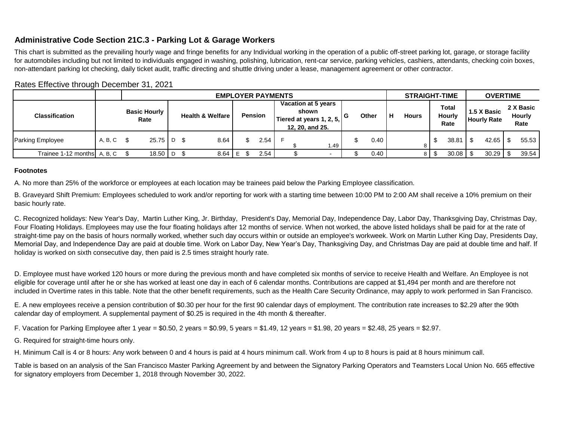## **Administrative Code Section 21C.3 - Parking Lot & Garage Workers**

This chart is submitted as the prevailing hourly wage and fringe benefits for any Individual working in the operation of a public off-street parking lot, garage, or storage facility for automobiles including but not limited to individuals engaged in washing, polishing, lubrication, rent-car service, parking vehicles, cashiers, attendants, checking coin boxes, non-attendant parking lot checking, daily ticket audit, traffic directing and shuttle driving under a lease, management agreement or other contractor.

|                                 |                             | <b>EMPLOYER PAYMENTS</b> |                             |  |      |                |  |      |                                                                             |  |      |       |  | <b>STRAIGHT-TIME</b> |              |   | <b>OVERTIME</b>                |       |                                   |       |                                    |       |
|---------------------------------|-----------------------------|--------------------------|-----------------------------|--|------|----------------|--|------|-----------------------------------------------------------------------------|--|------|-------|--|----------------------|--------------|---|--------------------------------|-------|-----------------------------------|-------|------------------------------------|-------|
| <b>Classification</b>           | <b>Basic Hourly</b><br>Rate |                          | <b>Health &amp; Welfare</b> |  |      | <b>Pension</b> |  |      | Vacation at 5 years<br>shown<br>Tiered at years 1, 2, 5,<br>12, 20, and 25. |  | G    | Other |  | $\mathsf{H}$         | <b>Hours</b> |   | Total<br><b>Hourly</b><br>Rate |       | 1.5 X Basic<br><b>Hourly Rate</b> |       | 2 X Basic<br><b>Hourly</b><br>Rate |       |
| Parking Employee                | A, B, C                     |                          | $25.75$ D \$                |  | 8.64 |                |  | 2.54 |                                                                             |  | 1.49 |       |  | 0.40                 |              |   |                                | 38.81 |                                   | 42.65 |                                    | 55.53 |
| Trainee $1-12$ months $A, B, C$ |                             |                          | $18.50$   D \$              |  | 8.64 |                |  | 2.54 |                                                                             |  |      |       |  | 0.40                 |              | 8 |                                | 30.08 |                                   | 30.29 |                                    | 39.54 |

Rates Effective through December 31, 2021

### **Footnotes**

A. No more than 25% of the workforce or employees at each location may be trainees paid below the Parking Employee classification.

B. Graveyard Shift Premium: Employees scheduled to work and/or reporting for work with a starting time between 10:00 PM to 2:00 AM shall receive a 10% premium on their basic hourly rate.

C. Recognized holidays: New Year's Day, Martin Luther King, Jr. Birthday, President's Day, Memorial Day, Independence Day, Labor Day, Thanksgiving Day, Christmas Day, Four Floating Holidays. Employees may use the four floating holidays after 12 months of service. When not worked, the above listed holidays shall be paid for at the rate of straight-time pay on the basis of hours normally worked, whether such day occurs within or outside an employee's workweek. Work on Martin Luther King Day, Presidents Day, Memorial Day, and Independence Day are paid at double time. Work on Labor Day, New Year's Day, Thanksgiving Day, and Christmas Day are paid at double time and half. If holiday is worked on sixth consecutive day, then paid is 2.5 times straight hourly rate.

D. Employee must have worked 120 hours or more during the previous month and have completed six months of service to receive Health and Welfare. An Employee is not eligible for coverage until after he or she has worked at least one day in each of 6 calendar months. Contributions are capped at \$1,494 per month and are therefore not included in Overtime rates in this table. Note that the other benefit requirements, such as the Health Care Security Ordinance, may apply to work performed in San Francisco.

E. A new employees receive a pension contribution of \$0.30 per hour for the first 90 calendar days of employment. The contribution rate increases to \$2.29 after the 90th calendar day of employment. A supplemental payment of \$0.25 is required in the 4th month & thereafter.

F. Vacation for Parking Employee after 1 year = \$0.50, 2 years = \$0.99, 5 years = \$1.49, 12 years = \$1.98, 20 years = \$2.48, 25 years = \$2.97.

G. Required for straight-time hours only.

H. Minimum Call is 4 or 8 hours: Any work between 0 and 4 hours is paid at 4 hours minimum call. Work from 4 up to 8 hours is paid at 8 hours minimum call.

Table is based on an analysis of the San Francisco Master Parking Agreement by and between the Signatory Parking Operators and Teamsters Local Union No. 665 effective for signatory employers from December 1, 2018 through November 30, 2022.